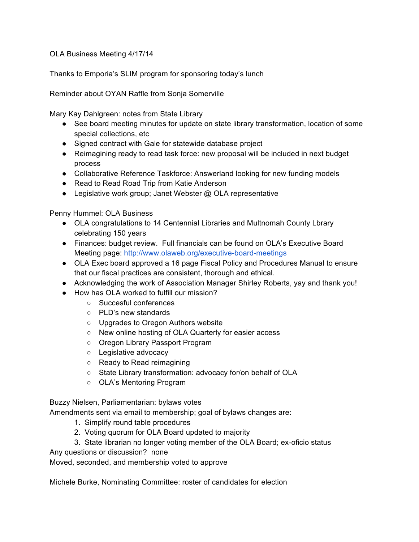OLA Business Meeting 4/17/14

Thanks to Emporia's SLIM program for sponsoring today's lunch

Reminder about OYAN Raffle from Sonja Somerville

Mary Kay Dahlgreen: notes from State Library

- See board meeting minutes for update on state library transformation, location of some special collections, etc
- Signed contract with Gale for statewide database project
- Reimagining ready to read task force: new proposal will be included in next budget process
- Collaborative Reference Taskforce: Answerland looking for new funding models
- Read to Read Road Trip from Katie Anderson
- Legislative work group; Janet Webster @ OLA representative

Penny Hummel: OLA Business

- OLA congratulations to 14 Centennial Libraries and Multnomah County Lbrary celebrating 150 years
- Finances: budget review. Full financials can be found on OLA's Executive Board Meeting page: http://www.olaweb.org/executive-board-meetings
- OLA Exec board approved a 16 page Fiscal Policy and Procedures Manual to ensure that our fiscal practices are consistent, thorough and ethical.
- Acknowledging the work of Association Manager Shirley Roberts, yay and thank you!
- How has OLA worked to fulfill our mission?
	- Succesful conferences
	- PLD's new standards
	- Upgrades to Oregon Authors website
	- New online hosting of OLA Quarterly for easier access
	- Oregon Library Passport Program
	- Legislative advocacy
	- Ready to Read reimagining
	- State Library transformation: advocacy for/on behalf of OLA
	- OLA's Mentoring Program

Buzzy Nielsen, Parliamentarian: bylaws votes

Amendments sent via email to membership; goal of bylaws changes are:

- 1. Simplify round table procedures
- 2. Voting quorum for OLA Board updated to majority
- 3. State librarian no longer voting member of the OLA Board; ex-oficio status

Any questions or discussion? none

Moved, seconded, and membership voted to approve

Michele Burke, Nominating Committee: roster of candidates for election